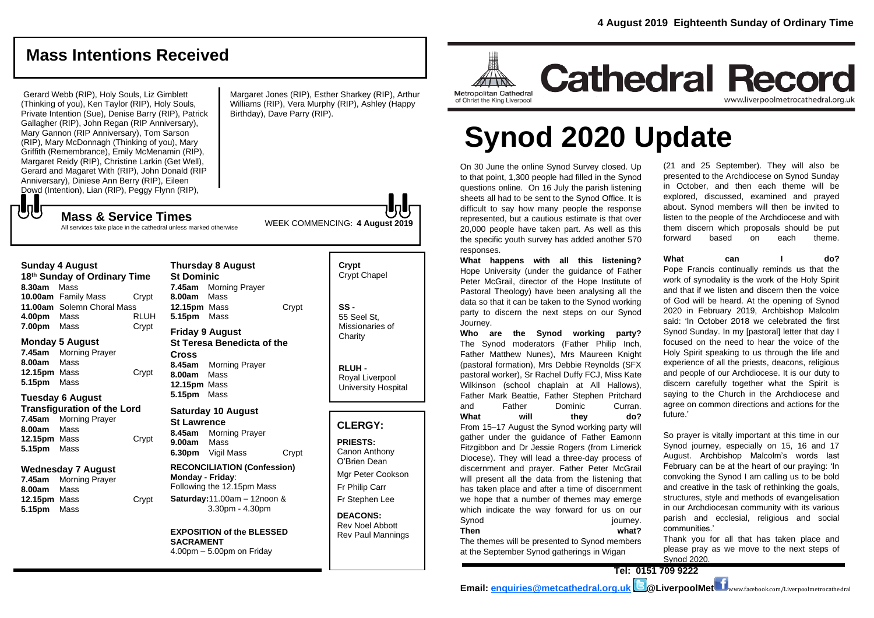**Cathedral Record** 

# **Mass Intentions Received**

Gerard Webb (RIP), Holy Souls, Liz Gimblett (Thinking of you), Ken Taylor (RIP), Holy Souls, Private Intention (Sue), Denise Barry (RIP), Patrick Gallagher (RIP), John Regan (RIP Anniversary), Mary Gannon (RIP Anniversary), Tom Sarson (RIP), Mary McDonnagh (Thinking of you), Mary Griffith (Remembrance), Emily McMenamin (RIP), Margaret Reidy (RIP), Christine Larkin (Get Well), Gerard and Magaret With (RIP), John Donald (RIP Anniversary), Diniese Ann Berry (RIP), Eileen Dowd (Intention), Lian (RIP), Peggy Flynn (RIP),

**Mass & Service Times**

Margaret Jones (RIP), Esther Sharkey (RIP), Arthur Williams (RIP), Vera Murphy (RIP), Ashley (Happy Birthday), Dave Parry (RIP).

WEEK COMMENCING: **4 August 2019**

All services take place in the cathedral unless marked otherwise

#### **Sunday 4 August**

もし

**18 th Sunday of Ordinary Time 8.30am** Mass **10.00am** Family Mass Crypt **11.00am** Solemn Choral Mass **4.00pm** Mass RLUH **7.00pm** Mass Crypt

#### **Monday 5 August**

**7.45am** Morning Prayer **8.00am** Mass **12.15pm** Mass Crypt **5.15pm** Mass

#### **Tuesday 6 August**

**Transfiguration of the Lord 7.45am** Morning Prayer **8.00am** Mass **12.15pm** Mass Crypt **5.15pm** Mass

#### **Wednesday 7 August**

**7.45am** Morning Prayer **8.00am** Mass **12.15pm** Mass Crypt **5.15pm** Mass

**Thursday 8 August St Dominic 7.45am** Morning Prayer **8.00am** Mass **12.15pm** Mass Crypt **5.15pm** Mass **Friday 9 August St Teresa Benedicta of the Cross 8.45am** Morning Prayer **8.00am** Mass **12.15pm** Mass

## **Saturday 10 August St Lawrence**

**5.15pm** Mass

**8.45am** Morning Prayer **9.00am** Mass **6.30pm** Vigil Mass Crypt

**RECONCILIATION (Confession) Monday - Friday**: Following the 12.15pm Mass **Saturday:**11.00am – 12noon & 3.30pm - 4.30pm

**EXPOSITION of the BLESSED SACRAMENT** 4.00pm – 5.00pm on Friday

# **Crypt**  Crypt Chapel **SS -** 55 Seel St, Missionaries of

**RLUH -**

**Charity** 

Royal Liverpool University Hospital

## **CLERGY:**

**PRIESTS:** Canon Anthony O'Brien *Dean*

Mgr Peter Cookson Fr Philip Carr Fr Stephen Lee

**DEACONS:** Rev Noel Abbott Rev Paul Mannings Metropolitan Cathedral of Christ the King Liverpool

# **Synod 2020 Update**

On 30 June the online Synod Survey closed. Up to that point, 1,300 people had filled in the Synod questions online. On 16 July the parish listening sheets all had to be sent to the Synod Office. It is difficult to say how many people the response represented, but a cautious estimate is that over 20,000 people have taken part. As well as this the specific youth survey has added another 570 responses.

**What happens with all this listening?** Hope University (under the guidance of Father Peter McGrail, director of the Hope Institute of Pastoral Theology) have been analysing all the data so that it can be taken to the Synod working party to discern the next steps on our Synod Journey.

**Who are the Synod working party?** The Synod moderators (Father Philip Inch, Father Matthew Nunes), Mrs Maureen Knight (pastoral formation), Mrs Debbie Reynolds (SFX pastoral worker), Sr Rachel Duffy FCJ, Miss Kate Wilkinson (school chaplain at All Hallows), Father Mark Beattie, Father Stephen Pritchard and Father Dominic Curran. What will they do? From 15–17 August the Synod working party will gather under the guidance of Father Eamonn Fitzgibbon and Dr Jessie Rogers (from Limerick Diocese). They will lead a three-day process of discernment and prayer. Father Peter McGrail will present all the data from the listening that has taken place and after a time of discernment we hope that a number of themes may emerge which indicate the way forward for us on our Synod iourney. **Then what?**

The themes will be presented to Synod members at the September Synod gatherings in Wigan

(21 and 25 September). They will also be presented to the Archdiocese on Synod Sunday in October, and then each theme will be explored, discussed, examined and prayed about. Synod members will then be invited to listen to the people of the Archdiocese and with them discern which proposals should be put forward based on each theme.

www.liverpoolmetrocathedral.org.uk

**What can I do?**

Pope Francis continually reminds us that the work of synodality is the work of the Holy Spirit and that if we listen and discern then the voice of God will be heard. At the opening of Synod 2020 in February 2019, Archbishop Malcolm said: 'In October 2018 we celebrated the first Synod Sunday. In my [pastoral] letter that day I focused on the need to hear the voice of the Holy Spirit speaking to us through the life and experience of all the priests, deacons, religious and people of our Archdiocese. It is our duty to discern carefully together what the Spirit is saying to the Church in the Archdiocese and agree on common directions and actions for the future.'

So prayer is vitally important at this time in our Synod journey, especially on 15, 16 and 17 August. Archbishop Malcolm's words last February can be at the heart of our praying: 'In convoking the Synod I am calling us to be bold and creative in the task of rethinking the goals, structures, style and methods of evangelisation in our Archdiocesan community with its various parish and ecclesial, religious and social communities.'

Thank you for all that has taken place and please pray as we move to the next steps of Synod 2020.